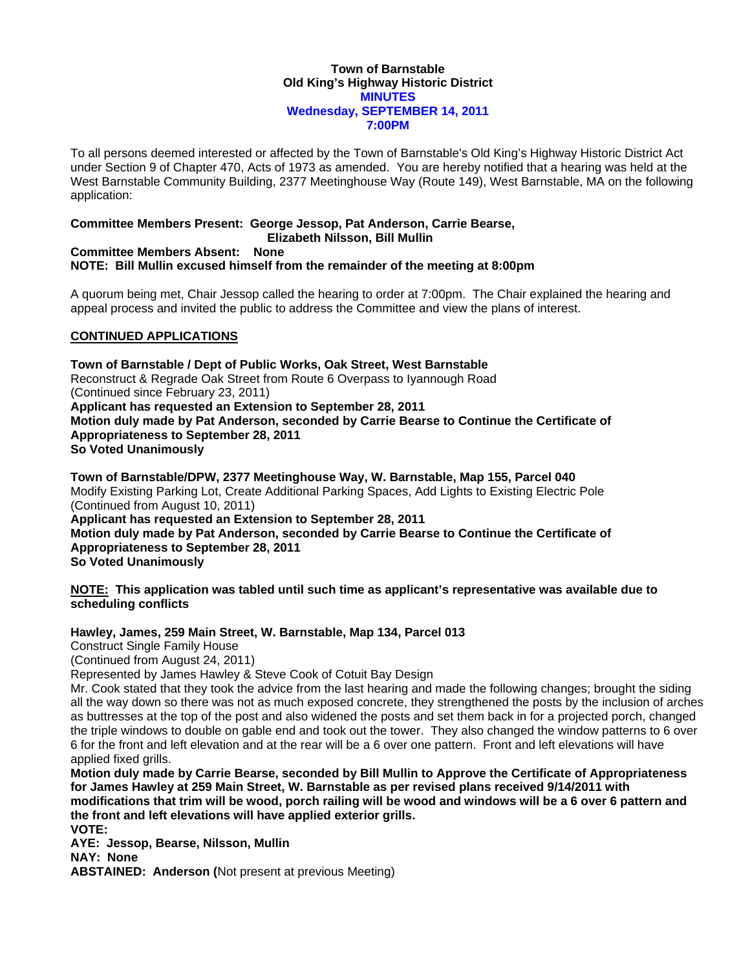#### **Town of Barnstable Old King's Highway Historic District MINUTES Wednesday, SEPTEMBER 14, 2011 7:00PM**

To all persons deemed interested or affected by the Town of Barnstable's Old King's Highway Historic District Act under Section 9 of Chapter 470, Acts of 1973 as amended. You are hereby notified that a hearing was held at the West Barnstable Community Building, 2377 Meetinghouse Way (Route 149), West Barnstable, MA on the following application:

# **Committee Members Present: George Jessop, Pat Anderson, Carrie Bearse,**

## **Elizabeth Nilsson, Bill Mullin**

#### **Committee Members Absent: None NOTE: Bill Mullin excused himself from the remainder of the meeting at 8:00pm**

A quorum being met, Chair Jessop called the hearing to order at 7:00pm. The Chair explained the hearing and appeal process and invited the public to address the Committee and view the plans of interest.

## **CONTINUED APPLICATIONS**

**Town of Barnstable / Dept of Public Works, Oak Street, West Barnstable**  Reconstruct & Regrade Oak Street from Route 6 Overpass to Iyannough Road (Continued since February 23, 2011) **Applicant has requested an Extension to September 28, 2011 Motion duly made by Pat Anderson, seconded by Carrie Bearse to Continue the Certificate of Appropriateness to September 28, 2011 So Voted Unanimously** 

**Town of Barnstable/DPW, 2377 Meetinghouse Way, W. Barnstable, Map 155, Parcel 040**  Modify Existing Parking Lot, Create Additional Parking Spaces, Add Lights to Existing Electric Pole (Continued from August 10, 2011) **Applicant has requested an Extension to September 28, 2011** 

**Motion duly made by Pat Anderson, seconded by Carrie Bearse to Continue the Certificate of Appropriateness to September 28, 2011 So Voted Unanimously** 

**NOTE: This application was tabled until such time as applicant's representative was available due to scheduling conflicts** 

## **Hawley, James, 259 Main Street, W. Barnstable, Map 134, Parcel 013**

Construct Single Family House

(Continued from August 24, 2011)

Represented by James Hawley & Steve Cook of Cotuit Bay Design

Mr. Cook stated that they took the advice from the last hearing and made the following changes; brought the siding all the way down so there was not as much exposed concrete, they strengthened the posts by the inclusion of arches as buttresses at the top of the post and also widened the posts and set them back in for a projected porch, changed the triple windows to double on gable end and took out the tower. They also changed the window patterns to 6 over 6 for the front and left elevation and at the rear will be a 6 over one pattern. Front and left elevations will have applied fixed grills.

**Motion duly made by Carrie Bearse, seconded by Bill Mullin to Approve the Certificate of Appropriateness for James Hawley at 259 Main Street, W. Barnstable as per revised plans received 9/14/2011 with modifications that trim will be wood, porch railing will be wood and windows will be a 6 over 6 pattern and the front and left elevations will have applied exterior grills. VOTE:** 

**AYE: Jessop, Bearse, Nilsson, Mullin** 

**NAY: None** 

**ABSTAINED: Anderson (**Not present at previous Meeting)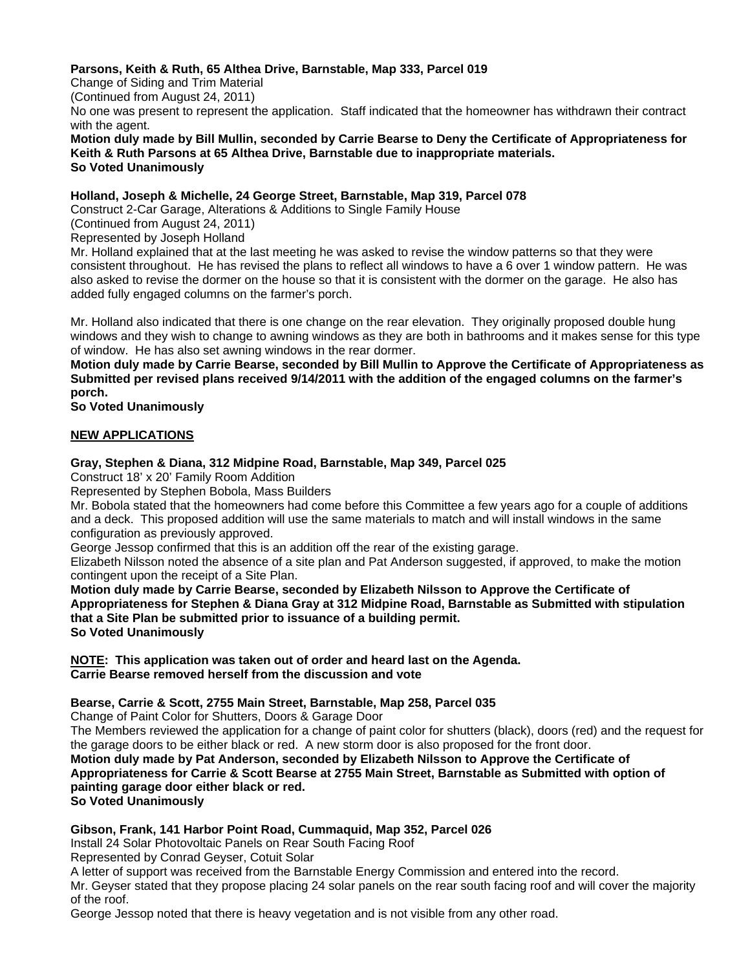## **Parsons, Keith & Ruth, 65 Althea Drive, Barnstable, Map 333, Parcel 019**

Change of Siding and Trim Material

(Continued from August 24, 2011)

No one was present to represent the application. Staff indicated that the homeowner has withdrawn their contract with the agent.

**Motion duly made by Bill Mullin, seconded by Carrie Bearse to Deny the Certificate of Appropriateness for Keith & Ruth Parsons at 65 Althea Drive, Barnstable due to inappropriate materials. So Voted Unanimously** 

### **Holland, Joseph & Michelle, 24 George Street, Barnstable, Map 319, Parcel 078**

Construct 2-Car Garage, Alterations & Additions to Single Family House

(Continued from August 24, 2011)

Represented by Joseph Holland

Mr. Holland explained that at the last meeting he was asked to revise the window patterns so that they were consistent throughout. He has revised the plans to reflect all windows to have a 6 over 1 window pattern. He was also asked to revise the dormer on the house so that it is consistent with the dormer on the garage. He also has added fully engaged columns on the farmer's porch.

Mr. Holland also indicated that there is one change on the rear elevation. They originally proposed double hung windows and they wish to change to awning windows as they are both in bathrooms and it makes sense for this type of window. He has also set awning windows in the rear dormer.

**Motion duly made by Carrie Bearse, seconded by Bill Mullin to Approve the Certificate of Appropriateness as Submitted per revised plans received 9/14/2011 with the addition of the engaged columns on the farmer's porch.** 

**So Voted Unanimously** 

## **NEW APPLICATIONS**

### **Gray, Stephen & Diana, 312 Midpine Road, Barnstable, Map 349, Parcel 025**

Construct 18' x 20' Family Room Addition

Represented by Stephen Bobola, Mass Builders

Mr. Bobola stated that the homeowners had come before this Committee a few years ago for a couple of additions and a deck. This proposed addition will use the same materials to match and will install windows in the same configuration as previously approved.

George Jessop confirmed that this is an addition off the rear of the existing garage.

Elizabeth Nilsson noted the absence of a site plan and Pat Anderson suggested, if approved, to make the motion contingent upon the receipt of a Site Plan.

**Motion duly made by Carrie Bearse, seconded by Elizabeth Nilsson to Approve the Certificate of Appropriateness for Stephen & Diana Gray at 312 Midpine Road, Barnstable as Submitted with stipulation that a Site Plan be submitted prior to issuance of a building permit. So Voted Unanimously** 

**NOTE: This application was taken out of order and heard last on the Agenda. Carrie Bearse removed herself from the discussion and vote** 

## **Bearse, Carrie & Scott, 2755 Main Street, Barnstable, Map 258, Parcel 035**

Change of Paint Color for Shutters, Doors & Garage Door

The Members reviewed the application for a change of paint color for shutters (black), doors (red) and the request for the garage doors to be either black or red. A new storm door is also proposed for the front door.

**Motion duly made by Pat Anderson, seconded by Elizabeth Nilsson to Approve the Certificate of Appropriateness for Carrie & Scott Bearse at 2755 Main Street, Barnstable as Submitted with option of painting garage door either black or red.** 

**So Voted Unanimously** 

#### **Gibson, Frank, 141 Harbor Point Road, Cummaquid, Map 352, Parcel 026**

Install 24 Solar Photovoltaic Panels on Rear South Facing Roof

Represented by Conrad Geyser, Cotuit Solar

A letter of support was received from the Barnstable Energy Commission and entered into the record.

Mr. Geyser stated that they propose placing 24 solar panels on the rear south facing roof and will cover the majority of the roof.

George Jessop noted that there is heavy vegetation and is not visible from any other road.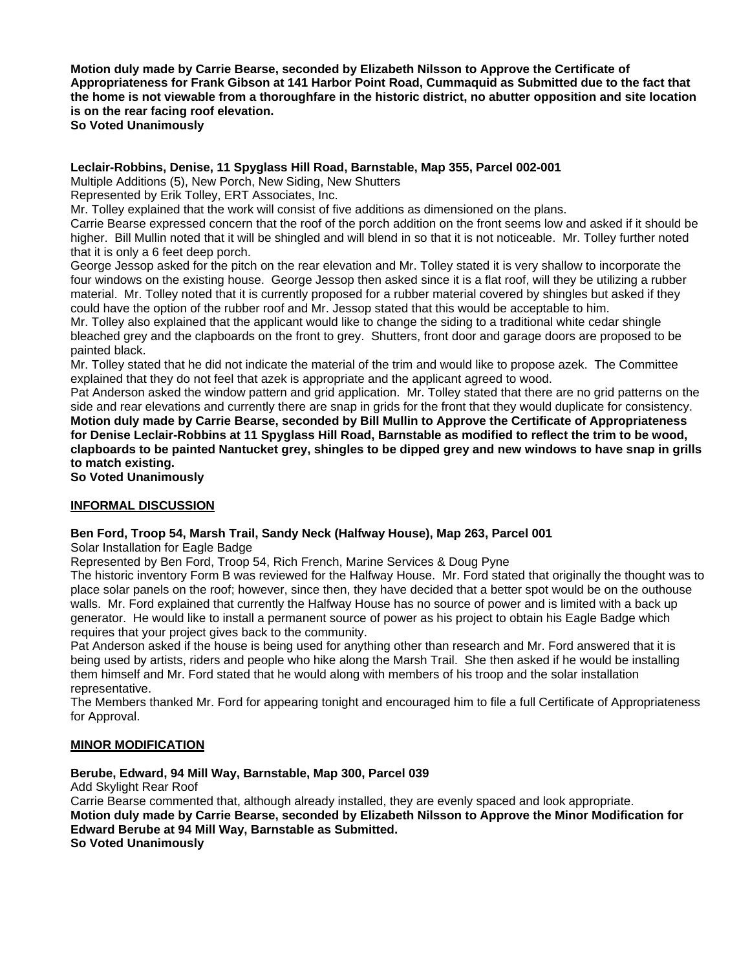**Motion duly made by Carrie Bearse, seconded by Elizabeth Nilsson to Approve the Certificate of Appropriateness for Frank Gibson at 141 Harbor Point Road, Cummaquid as Submitted due to the fact that the home is not viewable from a thoroughfare in the historic district, no abutter opposition and site location is on the rear facing roof elevation.** 

**So Voted Unanimously** 

## **Leclair-Robbins, Denise, 11 Spyglass Hill Road, Barnstable, Map 355, Parcel 002-001**

Multiple Additions (5), New Porch, New Siding, New Shutters

Represented by Erik Tolley, ERT Associates, Inc.

Mr. Tolley explained that the work will consist of five additions as dimensioned on the plans.

Carrie Bearse expressed concern that the roof of the porch addition on the front seems low and asked if it should be higher. Bill Mullin noted that it will be shingled and will blend in so that it is not noticeable. Mr. Tolley further noted that it is only a 6 feet deep porch.

George Jessop asked for the pitch on the rear elevation and Mr. Tolley stated it is very shallow to incorporate the four windows on the existing house. George Jessop then asked since it is a flat roof, will they be utilizing a rubber material. Mr. Tolley noted that it is currently proposed for a rubber material covered by shingles but asked if they could have the option of the rubber roof and Mr. Jessop stated that this would be acceptable to him.

Mr. Tolley also explained that the applicant would like to change the siding to a traditional white cedar shingle bleached grey and the clapboards on the front to grey. Shutters, front door and garage doors are proposed to be painted black.

Mr. Tolley stated that he did not indicate the material of the trim and would like to propose azek. The Committee explained that they do not feel that azek is appropriate and the applicant agreed to wood.

Pat Anderson asked the window pattern and grid application. Mr. Tolley stated that there are no grid patterns on the side and rear elevations and currently there are snap in grids for the front that they would duplicate for consistency. **Motion duly made by Carrie Bearse, seconded by Bill Mullin to Approve the Certificate of Appropriateness for Denise Leclair-Robbins at 11 Spyglass Hill Road, Barnstable as modified to reflect the trim to be wood, clapboards to be painted Nantucket grey, shingles to be dipped grey and new windows to have snap in grills to match existing.** 

**So Voted Unanimously** 

#### **INFORMAL DISCUSSION**

#### **Ben Ford, Troop 54, Marsh Trail, Sandy Neck (Halfway House), Map 263, Parcel 001**

Solar Installation for Eagle Badge

Represented by Ben Ford, Troop 54, Rich French, Marine Services & Doug Pyne

The historic inventory Form B was reviewed for the Halfway House. Mr. Ford stated that originally the thought was to place solar panels on the roof; however, since then, they have decided that a better spot would be on the outhouse walls. Mr. Ford explained that currently the Halfway House has no source of power and is limited with a back up generator. He would like to install a permanent source of power as his project to obtain his Eagle Badge which requires that your project gives back to the community.

Pat Anderson asked if the house is being used for anything other than research and Mr. Ford answered that it is being used by artists, riders and people who hike along the Marsh Trail. She then asked if he would be installing them himself and Mr. Ford stated that he would along with members of his troop and the solar installation representative.

The Members thanked Mr. Ford for appearing tonight and encouraged him to file a full Certificate of Appropriateness for Approval.

#### **MINOR MODIFICATION**

#### **Berube, Edward, 94 Mill Way, Barnstable, Map 300, Parcel 039**

Add Skylight Rear Roof

Carrie Bearse commented that, although already installed, they are evenly spaced and look appropriate. **Motion duly made by Carrie Bearse, seconded by Elizabeth Nilsson to Approve the Minor Modification for Edward Berube at 94 Mill Way, Barnstable as Submitted. So Voted Unanimously**